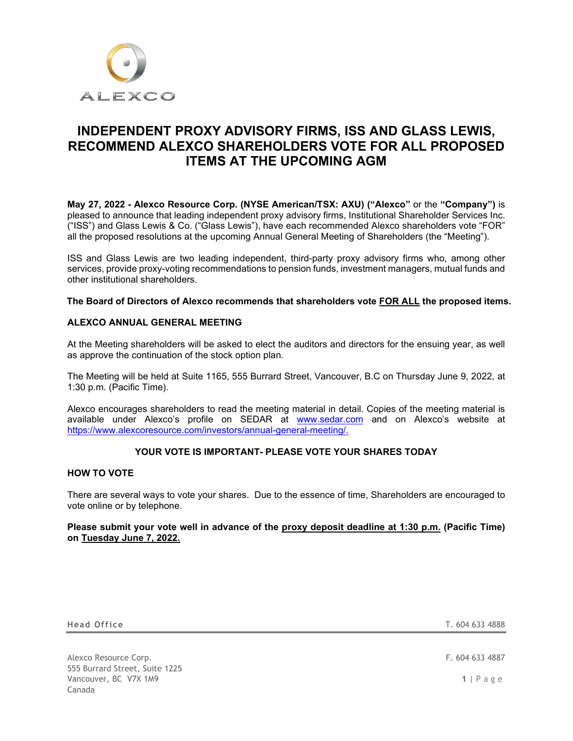

# **INDEPENDENT PROXY ADVISORY FIRMS, ISS AND GLASS LEWIS, RECOMMEND ALEXCO SHAREHOLDERS VOTE FOR ALL PROPOSED ITEMS AT THE UPCOMING AGM**

**May 27, 2022 - Alexco Resource Corp. (NYSE American/TSX: AXU) ("Alexco"** or the **"Company")** is pleased to announce that leading independent proxy advisory firms, Institutional Shareholder Services Inc. ("ISS") and Glass Lewis & Co. ("Glass Lewis"), have each recommended Alexco shareholders vote "FOR" all the proposed resolutions at the upcoming Annual General Meeting of Shareholders (the "Meeting").

ISS and Glass Lewis are two leading independent, third-party proxy advisory firms who, among other services, provide proxy-voting recommendations to pension funds, investment managers, mutual funds and other institutional shareholders.

## **The Board of Directors of Alexco recommends that shareholders vote FOR ALL the proposed items.**

# **ALEXCO ANNUAL GENERAL MEETING**

At the Meeting shareholders will be asked to elect the auditors and directors for the ensuing year, as well as approve the continuation of the stock option plan.

The Meeting will be held at Suite 1165, 555 Burrard Street, Vancouver, B.C on Thursday June 9, 2022, at 1:30 p.m. (Pacific Time).

Alexco encourages shareholders to read the meeting material in detail. Copies of the meeting material is available under Alexco's profile on SEDAR at [www.sedar.com](http://www.sedar.com/) and on Alexco's website at [https://www.alexcoresource.com/investors/annual-general-meeting/.](https://www.alexcoresource.com/investors/annual-general-meeting/)

## **YOUR VOTE IS IMPORTANT- PLEASE VOTE YOUR SHARES TODAY**

# **HOW TO VOTE**

There are several ways to vote your shares. Due to the essence of time, Shareholders are encouraged to vote online or by telephone.

## **Please submit your vote well in advance of the proxy deposit deadline at 1:30 p.m. (Pacific Time) on Tuesday June 7, 2022.**

**Head Office** T. 604 633 4888

Alexco Resource Corp. **F. 604 633 4887** 555 Burrard Street, Suite 1225 Vancouver, BC V7X 1M9 **1** | Page Canada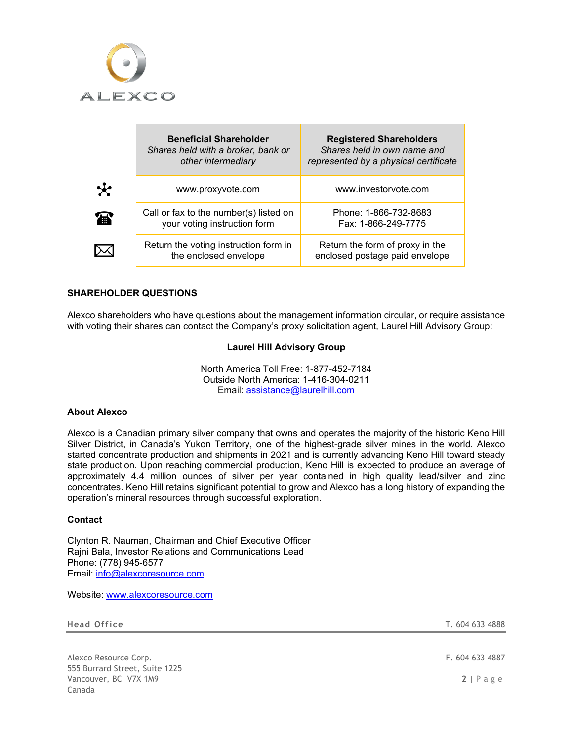

|         | <b>Beneficial Shareholder</b><br>Shares held with a broker, bank or<br>other intermediary | <b>Registered Shareholders</b><br>Shares held in own name and<br>represented by a physical certificate |
|---------|-------------------------------------------------------------------------------------------|--------------------------------------------------------------------------------------------------------|
| $\star$ | www.proxyvote.com                                                                         | www.investoryote.com                                                                                   |
| 霉       | Call or fax to the number(s) listed on<br>your voting instruction form                    | Phone: 1-866-732-8683<br>Fax: 1-866-249-7775                                                           |
|         | Return the voting instruction form in<br>the enclosed envelope                            | Return the form of proxy in the<br>enclosed postage paid envelope                                      |

# **SHAREHOLDER QUESTIONS**

Alexco shareholders who have questions about the management information circular, or require assistance with voting their shares can contact the Company's proxy solicitation agent, Laurel Hill Advisory Group:

### **Laurel Hill Advisory Group**

North America Toll Free: 1-877-452-7184 Outside North America: 1-416-304-0211 Email: [assistance@laurelhill.com](mailto:assistance@laurelhill.com)

### **About Alexco**

Alexco is a Canadian primary silver company that owns and operates the majority of the historic Keno Hill Silver District, in Canada's Yukon Territory, one of the highest-grade silver mines in the world. Alexco started concentrate production and shipments in 2021 and is currently advancing Keno Hill toward steady state production. Upon reaching commercial production, Keno Hill is expected to produce an average of approximately 4.4 million ounces of silver per year contained in high quality lead/silver and zinc concentrates. Keno Hill retains significant potential to grow and Alexco has a long history of expanding the operation's mineral resources through successful exploration.

# **Contact**

Clynton R. Nauman, Chairman and Chief Executive Officer Rajni Bala, Investor Relations and Communications Lead Phone: (778) 945-6577 Email: [info@alexcoresource.com](mailto:info@alexcoresource.com)

Website: [www.alexcoresource.com](http://www.alexcoresource.com/)

**Head Office** T. 604 633 4888

Alexco Resource Corp. **Example 20** 633 4887 555 Burrard Street, Suite 1225 Vancouver, BC V7X 1M9 **2** | Page Canada